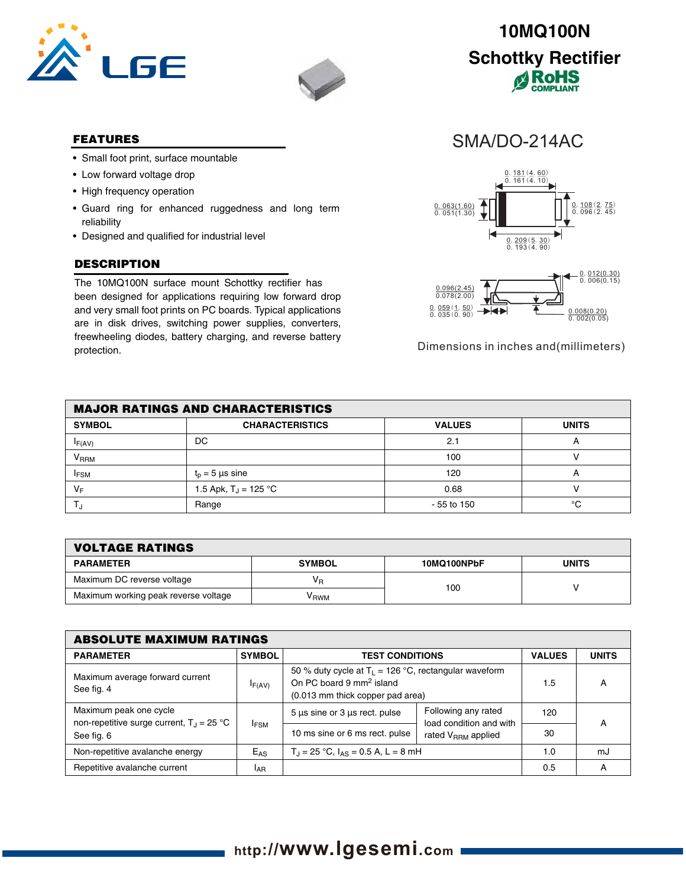



### **FEATURES**

- Small foot print, surface mountable
- Low forward voltage drop
- High frequency operation
- Guard ring for enhanced ruggedness and long term reliability
- Designed and qualified for industrial level

## **DESCRIPTION**

The 10MQ100N surface mount Schottky rectifier has been designed for applications requiring low forward drop and very small foot prints on PC boards. Typical applications are in disk drives, switching power supplies, converters, freewheeling diodes, battery charging, and reverse battery protection.



SMA/DO-214AC



Dimensions in inches and(millimeters)

| <b>MAJOR RATINGS AND CHARACTERISTICS</b> |                         |               |                |  |  |
|------------------------------------------|-------------------------|---------------|----------------|--|--|
| <b>SYMBOL</b>                            | <b>CHARACTERISTICS</b>  | <b>VALUES</b> | <b>UNITS</b>   |  |  |
| $I_{F(AV)}$                              | DC                      | 2.1           |                |  |  |
| $\mathsf{V}_\mathsf{RRM}$                |                         | 100           |                |  |  |
| <b>IFSM</b>                              | $t_n = 5$ µs sine       | 120           | $\overline{ }$ |  |  |
| VF                                       | 1.5 Apk, $T_J = 125 °C$ | 0.68          |                |  |  |
|                                          | Range                   | $-55$ to 150  | °C             |  |  |

| <b>VOLTAGE RATINGS</b>               |               |             |              |  |  |
|--------------------------------------|---------------|-------------|--------------|--|--|
| <b>PARAMETER</b>                     | <b>SYMBOL</b> | 10MQ100NPbF | <b>UNITS</b> |  |  |
| Maximum DC reverse voltage           | Vв            | 100         |              |  |  |
| Maximum working peak reverse voltage | V RWM         |             |              |  |  |

| <b>ABSOLUTE MAXIMUM RATINGS</b>                                                                      |                 |                                                                                                                                     |                                                |               |              |  |
|------------------------------------------------------------------------------------------------------|-----------------|-------------------------------------------------------------------------------------------------------------------------------------|------------------------------------------------|---------------|--------------|--|
| <b>PARAMETER</b>                                                                                     | <b>SYMBOL</b>   | <b>TEST CONDITIONS</b>                                                                                                              |                                                | <b>VALUES</b> | <b>UNITS</b> |  |
| Maximum average forward current<br>See fig. 4                                                        | $I_{F(AV)}$     | 50 % duty cycle at $T_L$ = 126 °C, rectangular waveform<br>On PC board 9 mm <sup>2</sup> island<br>(0.013 mm thick copper pad area) |                                                | 1.5           | А            |  |
| Maximum peak one cycle<br>non-repetitive surge current, $T_{\text{d}} = 25 \text{ }^{\circ}\text{C}$ |                 | $5 \mu s$ sine or $3 \mu s$ rect. pulse                                                                                             | Following any rated<br>load condition and with | 120           | A            |  |
| See fig. 6                                                                                           | <b>IFSM</b>     | 10 ms sine or 6 ms rect. pulse                                                                                                      | rated V <sub>RRM</sub> applied                 | 30            |              |  |
| Non-repetitive avalanche energy                                                                      | $E_{AS}$        | $T_{\rm J}$ = 25 °C, $I_{\rm AS}$ = 0.5 A, L = 8 mH                                                                                 |                                                | 1.0           | mJ           |  |
| Repetitive avalanche current                                                                         | <sup>I</sup> AR |                                                                                                                                     |                                                | 0.5           | А            |  |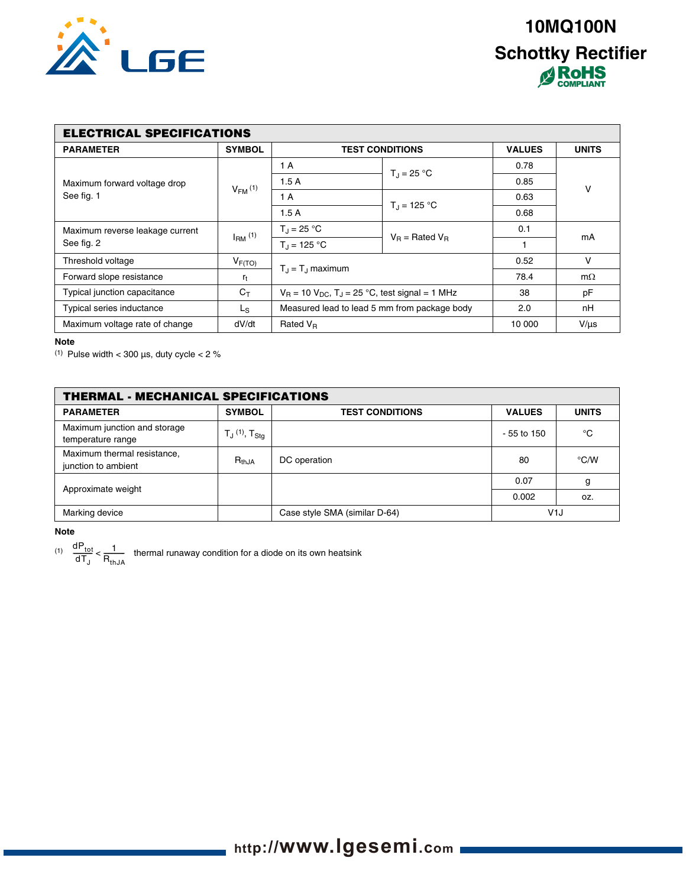

| <b>ELECTRICAL SPECIFICATIONS</b>              |               |                                                                   |                      |               |              |  |
|-----------------------------------------------|---------------|-------------------------------------------------------------------|----------------------|---------------|--------------|--|
| <b>PARAMETER</b>                              | <b>SYMBOL</b> | <b>TEST CONDITIONS</b>                                            |                      | <b>VALUES</b> | <b>UNITS</b> |  |
|                                               | $V_{FM}$ (1)  | 1 A                                                               | $T_{d} = 25 °C$      | 0.78          | V            |  |
| Maximum forward voltage drop                  |               | 1.5A                                                              |                      | 0.85          |              |  |
| See fig. 1                                    |               | 1 A                                                               | $T_{\rm d}$ = 125 °C | 0.63          |              |  |
|                                               |               | 1.5A                                                              |                      | 0.68          |              |  |
| Maximum reverse leakage current<br>See fig. 2 | $IRM$ (1)     | $T_{\rm J} = 25 °C$                                               | $V_B$ = Rated $V_B$  | 0.1           | mA           |  |
|                                               |               | $T_{d} = 125 °C$                                                  |                      |               |              |  |
| Threshold voltage                             | $V_{F(TO)}$   | $T_{\rm d} = T_{\rm d}$ maximum                                   |                      | 0.52          | $\vee$       |  |
| Forward slope resistance                      | $r_t$         |                                                                   |                      | 78.4          | $m\Omega$    |  |
| Typical junction capacitance                  | $C_T$         | $V_B$ = 10 $V_{DC}$ , T <sub>J</sub> = 25 °C, test signal = 1 MHz |                      | 38            | pF           |  |
| Typical series inductance                     | Ls            | Measured lead to lead 5 mm from package body                      |                      | 2.0           | nH           |  |
| Maximum voltage rate of change                | dV/dt         | Rated $V_R$                                                       |                      | 10 000        | $V/\mu s$    |  |

#### **Note**

(1) Pulse width  $<$  300  $\mu$ s, duty cycle  $<$  2  $\%$ 

| <b>THERMAL - MECHANICAL SPECIFICATIONS</b>         |                                                                            |                               |               |               |  |
|----------------------------------------------------|----------------------------------------------------------------------------|-------------------------------|---------------|---------------|--|
| <b>PARAMETER</b>                                   | <b>SYMBOL</b>                                                              | <b>TEST CONDITIONS</b>        | <b>VALUES</b> | <b>UNITS</b>  |  |
| Maximum junction and storage<br>temperature range  | ${\mathsf T}_{\mathsf J}$ (1), ${\mathsf T}_{\operatorname{\mathsf{Stg}}}$ |                               | $-55$ to 150  | °C            |  |
| Maximum thermal resistance,<br>junction to ambient | $R_{th,JA}$                                                                | DC operation                  | 80            | $\degree$ C/W |  |
| Approximate weight                                 |                                                                            |                               | 0.07          | g             |  |
|                                                    |                                                                            |                               | 0.002         | OZ.           |  |
| Marking device                                     |                                                                            | Case style SMA (similar D-64) | V1J           |               |  |

#### **Note**

(1)  $\frac{dP_{tot}}{dT} < \frac{1}{R}$  thermal runaway condition for a diode on its own heatsink  $\frac{\text{d}P_{\text{tot}}}{\text{d}T_{\text{J}}}$  <  $\frac{1}{R_{\text{thJA}}}$